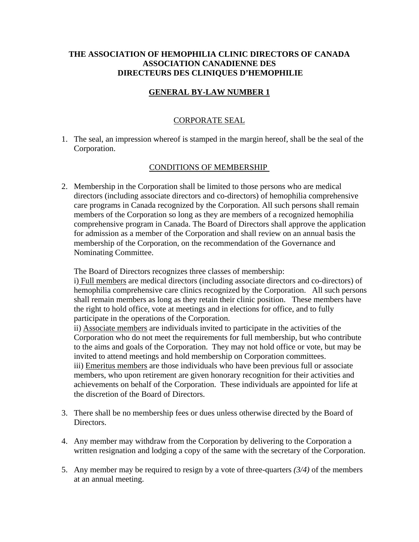# **THE ASSOCIATION OF HEMOPHILIA CLINIC DIRECTORS OF CANADA ASSOCIATION CANADIENNE DES DIRECTEURS DES CLINIQUES D'HEMOPHILIE**

# **GENERAL BY-LAW NUMBER 1**

## CORPORATE SEAL

1. The seal, an impression whereof is stamped in the margin hereof, shall be the seal of the Corporation.

## CONDITIONS OF MEMBERSHIP

2. Membership in the Corporation shall be limited to those persons who are medical directors (including associate directors and co-directors) of hemophilia comprehensive care programs in Canada recognized by the Corporation. All such persons shall remain members of the Corporation so long as they are members of a recognized hemophilia comprehensive program in Canada. The Board of Directors shall approve the application for admission as a member of the Corporation and shall review on an annual basis the membership of the Corporation, on the recommendation of the Governance and Nominating Committee.

The Board of Directors recognizes three classes of membership:

i) Full members are medical directors (including associate directors and co-directors) of hemophilia comprehensive care clinics recognized by the Corporation. All such persons shall remain members as long as they retain their clinic position. These members have the right to hold office, vote at meetings and in elections for office, and to fully participate in the operations of the Corporation.

ii) Associate members are individuals invited to participate in the activities of the Corporation who do not meet the requirements for full membership, but who contribute to the aims and goals of the Corporation. They may not hold office or vote, but may be invited to attend meetings and hold membership on Corporation committees. iii) Emeritus members are those individuals who have been previous full or associate members, who upon retirement are given honorary recognition for their activities and achievements on behalf of the Corporation. These individuals are appointed for life at the discretion of the Board of Directors.

- 3. There shall be no membership fees or dues unless otherwise directed by the Board of Directors.
- 4. Any member may withdraw from the Corporation by delivering to the Corporation a written resignation and lodging a copy of the same with the secretary of the Corporation.
- 5. Any member may be required to resign by a vote of three-quarters *(3/4)* of the members at an annual meeting.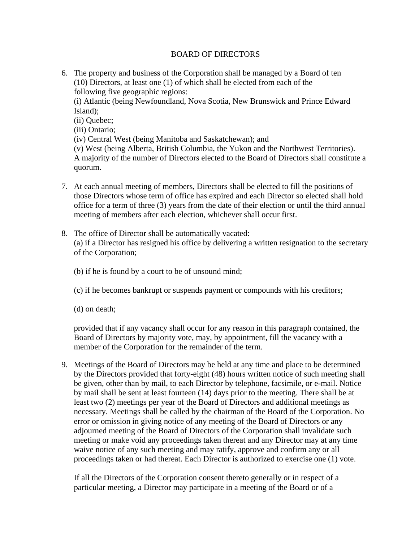## BOARD OF DIRECTORS

6. The property and business of the Corporation shall be managed by a Board of ten (10) Directors, at least one (1) of which shall be elected from each of the following five geographic regions:

(i) Atlantic (being Newfoundland, Nova Scotia, New Brunswick and Prince Edward Island);

(ii) Quebec;

(iii) Ontario;

(iv) Central West (being Manitoba and Saskatchewan); and

(v) West (being Alberta, British Columbia, the Yukon and the Northwest Territories). A majority of the number of Directors elected to the Board of Directors shall constitute a quorum.

- 7. At each annual meeting of members, Directors shall be elected to fill the positions of those Directors whose term of office has expired and each Director so elected shall hold office for a term of three (3) years from the date of their election or until the third annual meeting of members after each election, whichever shall occur first.
- 8. The office of Director shall be automatically vacated: (a) if a Director has resigned his office by delivering a written resignation to the secretary of the Corporation;
	- (b) if he is found by a court to be of unsound mind;
	- (c) if he becomes bankrupt or suspends payment or compounds with his creditors;
	- (d) on death;

provided that if any vacancy shall occur for any reason in this paragraph contained, the Board of Directors by majority vote, may, by appointment, fill the vacancy with a member of the Corporation for the remainder of the term.

9. Meetings of the Board of Directors may be held at any time and place to be determined by the Directors provided that forty-eight (48) hours written notice of such meeting shall be given, other than by mail, to each Director by telephone, facsimile, or e-mail. Notice by mail shall be sent at least fourteen (14) days prior to the meeting. There shall be at least two (2) meetings per year of the Board of Directors and additional meetings as necessary. Meetings shall be called by the chairman of the Board of the Corporation. No error or omission in giving notice of any meeting of the Board of Directors or any adjourned meeting of the Board of Directors of the Corporation shall invalidate such meeting or make void any proceedings taken thereat and any Director may at any time waive notice of any such meeting and may ratify, approve and confirm any or all proceedings taken or had thereat. Each Director is authorized to exercise one (1) vote.

If all the Directors of the Corporation consent thereto generally or in respect of a particular meeting, a Director may participate in a meeting of the Board or of a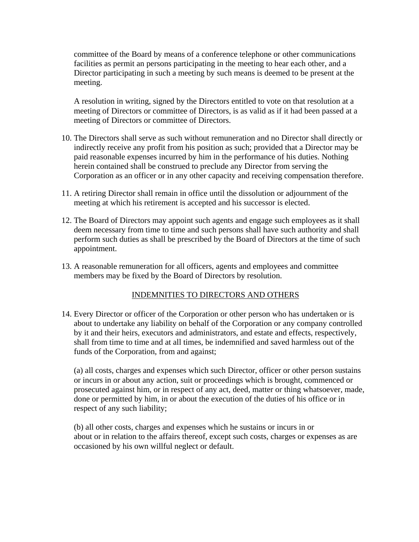committee of the Board by means of a conference telephone or other communications facilities as permit an persons participating in the meeting to hear each other, and a Director participating in such a meeting by such means is deemed to be present at the meeting.

A resolution in writing, signed by the Directors entitled to vote on that resolution at a meeting of Directors or committee of Directors, is as valid as if it had been passed at a meeting of Directors or committee of Directors.

- 10. The Directors shall serve as such without remuneration and no Director shall directly or indirectly receive any profit from his position as such; provided that a Director may be paid reasonable expenses incurred by him in the performance of his duties. Nothing herein contained shall be construed to preclude any Director from serving the Corporation as an officer or in any other capacity and receiving compensation therefore.
- 11. A retiring Director shall remain in office until the dissolution or adjournment of the meeting at which his retirement is accepted and his successor is elected.
- 12. The Board of Directors may appoint such agents and engage such employees as it shall deem necessary from time to time and such persons shall have such authority and shall perform such duties as shall be prescribed by the Board of Directors at the time of such appointment.
- 13. A reasonable remuneration for all officers, agents and employees and committee members may be fixed by the Board of Directors by resolution.

# INDEMNITIES TO DIRECTORS AND OTHERS

14. Every Director or officer of the Corporation or other person who has undertaken or is about to undertake any liability on behalf of the Corporation or any company controlled by it and their heirs, executors and administrators, and estate and effects, respectively, shall from time to time and at all times, be indemnified and saved harmless out of the funds of the Corporation, from and against;

(a) all costs, charges and expenses which such Director, officer or other person sustains or incurs in or about any action, suit or proceedings which is brought, commenced or prosecuted against him, or in respect of any act, deed, matter or thing whatsoever, made, done or permitted by him, in or about the execution of the duties of his office or in respect of any such liability;

(b) all other costs, charges and expenses which he sustains or incurs in or about or in relation to the affairs thereof, except such costs, charges or expenses as are occasioned by his own willful neglect or default.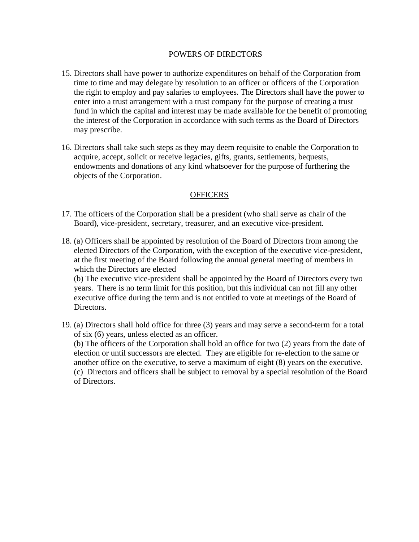#### POWERS OF DIRECTORS

- 15. Directors shall have power to authorize expenditures on behalf of the Corporation from time to time and may delegate by resolution to an officer or officers of the Corporation the right to employ and pay salaries to employees. The Directors shall have the power to enter into a trust arrangement with a trust company for the purpose of creating a trust fund in which the capital and interest may be made available for the benefit of promoting the interest of the Corporation in accordance with such terms as the Board of Directors may prescribe.
- 16. Directors shall take such steps as they may deem requisite to enable the Corporation to acquire, accept, solicit or receive legacies, gifts, grants, settlements, bequests, endowments and donations of any kind whatsoever for the purpose of furthering the objects of the Corporation.

### **OFFICERS**

- 17. The officers of the Corporation shall be a president (who shall serve as chair of the Board), vice-president, secretary, treasurer, and an executive vice-president.
- 18. (a) Officers shall be appointed by resolution of the Board of Directors from among the elected Directors of the Corporation, with the exception of the executive vice-president, at the first meeting of the Board following the annual general meeting of members in which the Directors are elected

(b) The executive vice-president shall be appointed by the Board of Directors every two years. There is no term limit for this position, but this individual can not fill any other executive office during the term and is not entitled to vote at meetings of the Board of Directors.

- 19. (a) Directors shall hold office for three (3) years and may serve a second-term for a total of six (6) years, unless elected as an officer. (b) The officers of the Corporation shall hold an office for two (2) years from the date of election or until successors are elected. They are eligible for re-election to the same or another office on the executive, to serve a maximum of eight (8) years on the executive. (c) Directors and officers shall be subject to removal by a special resolution of the Board
	- of Directors.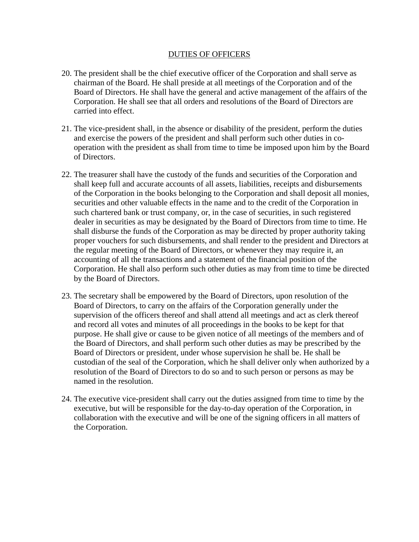### DUTIES OF OFFICERS

- 20. The president shall be the chief executive officer of the Corporation and shall serve as chairman of the Board. He shall preside at all meetings of the Corporation and of the Board of Directors. He shall have the general and active management of the affairs of the Corporation. He shall see that all orders and resolutions of the Board of Directors are carried into effect.
- 21. The vice-president shall, in the absence or disability of the president, perform the duties and exercise the powers of the president and shall perform such other duties in cooperation with the president as shall from time to time be imposed upon him by the Board of Directors.
- 22. The treasurer shall have the custody of the funds and securities of the Corporation and shall keep full and accurate accounts of all assets, liabilities, receipts and disbursements of the Corporation in the books belonging to the Corporation and shall deposit all monies, securities and other valuable effects in the name and to the credit of the Corporation in such chartered bank or trust company, or, in the case of securities, in such registered dealer in securities as may be designated by the Board of Directors from time to time. He shall disburse the funds of the Corporation as may be directed by proper authority taking proper vouchers for such disbursements, and shall render to the president and Directors at the regular meeting of the Board of Directors, or whenever they may require it, an accounting of all the transactions and a statement of the financial position of the Corporation. He shall also perform such other duties as may from time to time be directed by the Board of Directors.
- 23. The secretary shall be empowered by the Board of Directors, upon resolution of the Board of Directors, to carry on the affairs of the Corporation generally under the supervision of the officers thereof and shall attend all meetings and act as clerk thereof and record all votes and minutes of all proceedings in the books to be kept for that purpose. He shall give or cause to be given notice of all meetings of the members and of the Board of Directors, and shall perform such other duties as may be prescribed by the Board of Directors or president, under whose supervision he shall be. He shall be custodian of the seal of the Corporation, which he shall deliver only when authorized by a resolution of the Board of Directors to do so and to such person or persons as may be named in the resolution.
- 24. The executive vice-president shall carry out the duties assigned from time to time by the executive, but will be responsible for the day-to-day operation of the Corporation, in collaboration with the executive and will be one of the signing officers in all matters of the Corporation.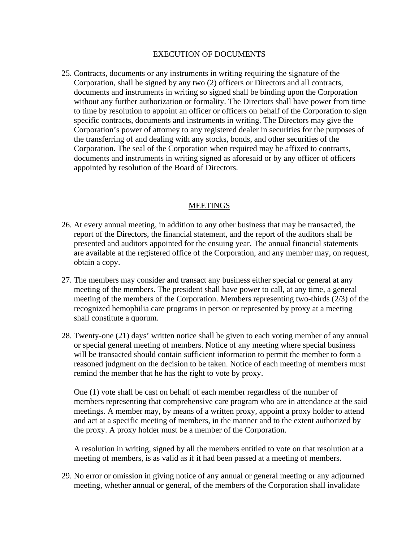#### EXECUTION OF DOCUMENTS

25. Contracts, documents or any instruments in writing requiring the signature of the Corporation, shall be signed by any two (2) officers or Directors and all contracts, documents and instruments in writing so signed shall be binding upon the Corporation without any further authorization or formality. The Directors shall have power from time to time by resolution to appoint an officer or officers on behalf of the Corporation to sign specific contracts, documents and instruments in writing. The Directors may give the Corporation's power of attorney to any registered dealer in securities for the purposes of the transferring of and dealing with any stocks, bonds, and other securities of the Corporation. The seal of the Corporation when required may be affixed to contracts, documents and instruments in writing signed as aforesaid or by any officer of officers appointed by resolution of the Board of Directors.

### MEETINGS

- 26. At every annual meeting, in addition to any other business that may be transacted, the report of the Directors, the financial statement, and the report of the auditors shall be presented and auditors appointed for the ensuing year. The annual financial statements are available at the registered office of the Corporation, and any member may, on request, obtain a copy.
- 27. The members may consider and transact any business either special or general at any meeting of the members. The president shall have power to call, at any time, a general meeting of the members of the Corporation. Members representing two-thirds (2/3) of the recognized hemophilia care programs in person or represented by proxy at a meeting shall constitute a quorum.
- 28. Twenty-one (21) days' written notice shall be given to each voting member of any annual or special general meeting of members. Notice of any meeting where special business will be transacted should contain sufficient information to permit the member to form a reasoned judgment on the decision to be taken. Notice of each meeting of members must remind the member that he has the right to vote by proxy.

One (1) vote shall be cast on behalf of each member regardless of the number of members representing that comprehensive care program who are in attendance at the said meetings. A member may, by means of a written proxy, appoint a proxy holder to attend and act at a specific meeting of members, in the manner and to the extent authorized by the proxy. A proxy holder must be a member of the Corporation.

A resolution in writing, signed by all the members entitled to vote on that resolution at a meeting of members, is as valid as if it had been passed at a meeting of members.

29. No error or omission in giving notice of any annual or general meeting or any adjourned meeting, whether annual or general, of the members of the Corporation shall invalidate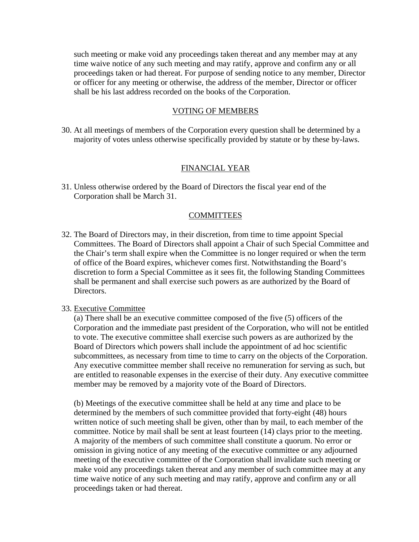such meeting or make void any proceedings taken thereat and any member may at any time waive notice of any such meeting and may ratify, approve and confirm any or all proceedings taken or had thereat. For purpose of sending notice to any member, Director or officer for any meeting or otherwise, the address of the member, Director or officer shall be his last address recorded on the books of the Corporation.

#### VOTING OF MEMBERS

30. At all meetings of members of the Corporation every question shall be determined by a majority of votes unless otherwise specifically provided by statute or by these by-laws.

### FINANCIAL YEAR

31. Unless otherwise ordered by the Board of Directors the fiscal year end of the Corporation shall be March 31.

#### **COMMITTEES**

32. The Board of Directors may, in their discretion, from time to time appoint Special Committees. The Board of Directors shall appoint a Chair of such Special Committee and the Chair's term shall expire when the Committee is no longer required or when the term of office of the Board expires, whichever comes first. Notwithstanding the Board's discretion to form a Special Committee as it sees fit, the following Standing Committees shall be permanent and shall exercise such powers as are authorized by the Board of Directors.

#### 33. Executive Committee

(a) There shall be an executive committee composed of the five (5) officers of the Corporation and the immediate past president of the Corporation, who will not be entitled to vote. The executive committee shall exercise such powers as are authorized by the Board of Directors which powers shall include the appointment of ad hoc scientific subcommittees, as necessary from time to time to carry on the objects of the Corporation. Any executive committee member shall receive no remuneration for serving as such, but are entitled to reasonable expenses in the exercise of their duty. Any executive committee member may be removed by a majority vote of the Board of Directors.

(b) Meetings of the executive committee shall be held at any time and place to be determined by the members of such committee provided that forty-eight (48) hours written notice of such meeting shall be given, other than by mail, to each member of the committee. Notice by mail shall be sent at least fourteen (14) clays prior to the meeting. A majority of the members of such committee shall constitute a quorum. No error or omission in giving notice of any meeting of the executive committee or any adjourned meeting of the executive committee of the Corporation shall invalidate such meeting or make void any proceedings taken thereat and any member of such committee may at any time waive notice of any such meeting and may ratify, approve and confirm any or all proceedings taken or had thereat.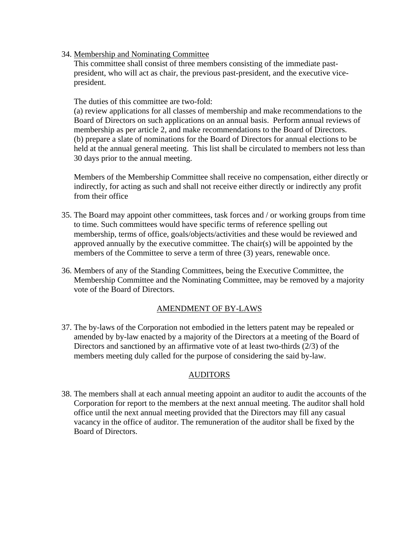34. Membership and Nominating Committee

This committee shall consist of three members consisting of the immediate pastpresident, who will act as chair, the previous past-president, and the executive vicepresident.

The duties of this committee are two-fold:

(a) review applications for all classes of membership and make recommendations to the Board of Directors on such applications on an annual basis. Perform annual reviews of membership as per article 2, and make recommendations to the Board of Directors. (b) prepare a slate of nominations for the Board of Directors for annual elections to be held at the annual general meeting. This list shall be circulated to members not less than 30 days prior to the annual meeting.

Members of the Membership Committee shall receive no compensation, either directly or indirectly, for acting as such and shall not receive either directly or indirectly any profit from their office

- 35. The Board may appoint other committees, task forces and / or working groups from time to time. Such committees would have specific terms of reference spelling out membership, terms of office, goals/objects/activities and these would be reviewed and approved annually by the executive committee. The chair(s) will be appointed by the members of the Committee to serve a term of three (3) years, renewable once.
- 36. Members of any of the Standing Committees, being the Executive Committee, the Membership Committee and the Nominating Committee, may be removed by a majority vote of the Board of Directors.

# AMENDMENT OF BY-LAWS

37. The by-laws of the Corporation not embodied in the letters patent may be repealed or amended by by-law enacted by a majority of the Directors at a meeting of the Board of Directors and sanctioned by an affirmative vote of at least two-thirds (2/3) of the members meeting duly called for the purpose of considering the said by-law.

# AUDITORS

38. The members shall at each annual meeting appoint an auditor to audit the accounts of the Corporation for report to the members at the next annual meeting. The auditor shall hold office until the next annual meeting provided that the Directors may fill any casual vacancy in the office of auditor. The remuneration of the auditor shall be fixed by the Board of Directors.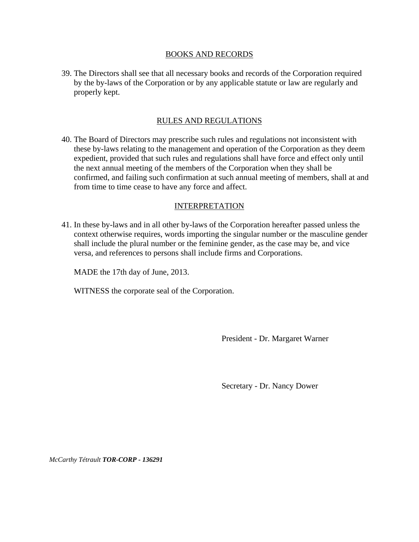#### BOOKS AND RECORDS

39. The Directors shall see that all necessary books and records of the Corporation required by the by-laws of the Corporation or by any applicable statute or law are regularly and properly kept.

## RULES AND REGULATIONS

40. The Board of Directors may prescribe such rules and regulations not inconsistent with these by-laws relating to the management and operation of the Corporation as they deem expedient, provided that such rules and regulations shall have force and effect only until the next annual meeting of the members of the Corporation when they shall be confirmed, and failing such confirmation at such annual meeting of members, shall at and from time to time cease to have any force and affect.

### INTERPRETATION

41. In these by-laws and in all other by-laws of the Corporation hereafter passed unless the context otherwise requires, words importing the singular number or the masculine gender shall include the plural number or the feminine gender, as the case may be, and vice versa, and references to persons shall include firms and Corporations.

MADE the 17th day of June, 2013.

WITNESS the corporate seal of the Corporation.

President - Dr. Margaret Warner

Secretary - Dr. Nancy Dower

*McCarthy Tétrault TOR-CORP - 136291*